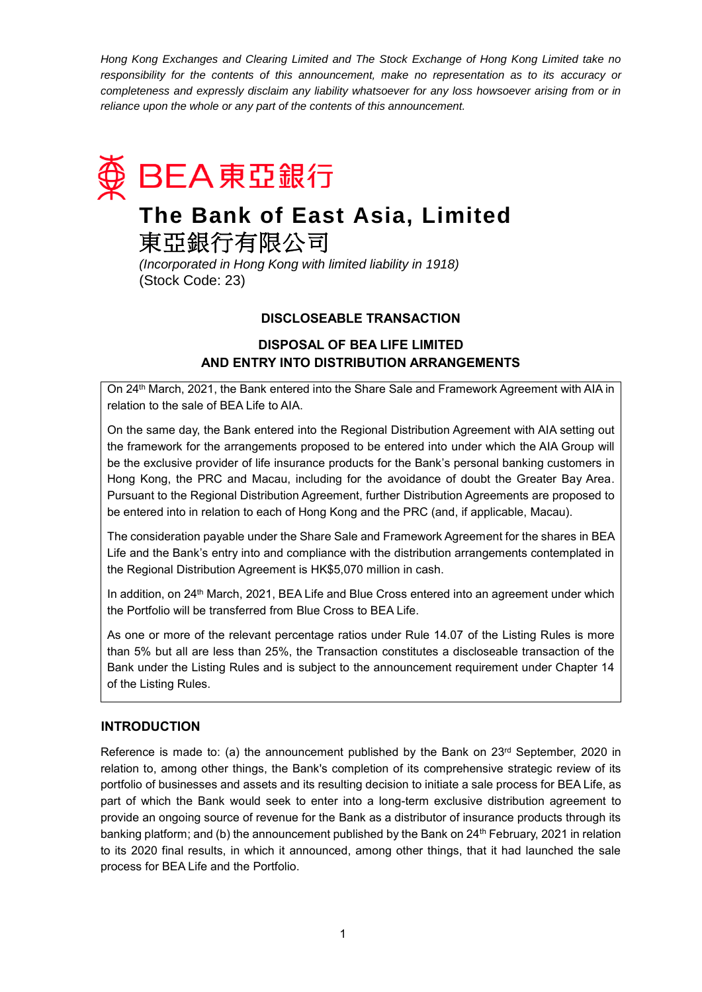*Hong Kong Exchanges and Clearing Limited and The Stock Exchange of Hong Kong Limited take no*  responsibility for the contents of this announcement, make no representation as to its accuracy or *completeness and expressly disclaim any liability whatsoever for any loss howsoever arising from or in reliance upon the whole or any part of the contents of this announcement.*



# **The Bank of East Asia, Limited**

東亞銀行有限公司

*(Incorporated in Hong Kong with limited liability in 1918)* (Stock Code: 23)

# **DISCLOSEABLE TRANSACTION**

**DISPOSAL OF BEA LIFE LIMITED AND ENTRY INTO DISTRIBUTION ARRANGEMENTS**

On 24th March, 2021, the Bank entered into the Share Sale and Framework Agreement with AIA in relation to the sale of BEA Life to AIA.

On the same day, the Bank entered into the Regional Distribution Agreement with AIA setting out the framework for the arrangements proposed to be entered into under which the AIA Group will be the exclusive provider of life insurance products for the Bank's personal banking customers in Hong Kong, the PRC and Macau, including for the avoidance of doubt the Greater Bay Area. Pursuant to the Regional Distribution Agreement, further Distribution Agreements are proposed to be entered into in relation to each of Hong Kong and the PRC (and, if applicable, Macau).

The consideration payable under the Share Sale and Framework Agreement for the shares in BEA Life and the Bank's entry into and compliance with the distribution arrangements contemplated in the Regional Distribution Agreement is HK\$5,070 million in cash.

In addition, on 24<sup>th</sup> March, 2021, BEA Life and Blue Cross entered into an agreement under which the Portfolio will be transferred from Blue Cross to BEA Life.

As one or more of the relevant percentage ratios under Rule 14.07 of the Listing Rules is more than 5% but all are less than 25%, the Transaction constitutes a discloseable transaction of the Bank under the Listing Rules and is subject to the announcement requirement under Chapter 14 of the Listing Rules.

# **INTRODUCTION**

Reference is made to: (a) the announcement published by the Bank on  $23<sup>rd</sup>$  September, 2020 in relation to, among other things, the Bank's completion of its comprehensive strategic review of its portfolio of businesses and assets and its resulting decision to initiate a sale process for BEA Life, as part of which the Bank would seek to enter into a long-term exclusive distribution agreement to provide an ongoing source of revenue for the Bank as a distributor of insurance products through its banking platform; and (b) the announcement published by the Bank on 24<sup>th</sup> February, 2021 in relation to its 2020 final results, in which it announced, among other things, that it had launched the sale process for BEA Life and the Portfolio.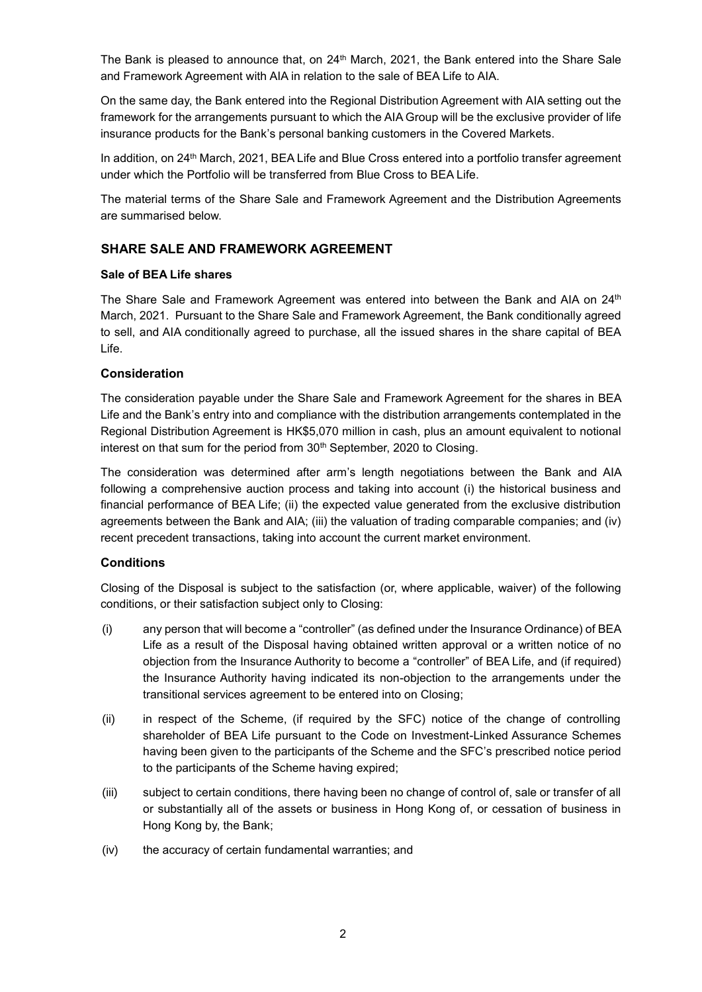The Bank is pleased to announce that, on 24<sup>th</sup> March, 2021, the Bank entered into the Share Sale and Framework Agreement with AIA in relation to the sale of BEA Life to AIA.

On the same day, the Bank entered into the Regional Distribution Agreement with AIA setting out the framework for the arrangements pursuant to which the AIA Group will be the exclusive provider of life insurance products for the Bank's personal banking customers in the Covered Markets.

In addition, on 24th March, 2021, BEA Life and Blue Cross entered into a portfolio transfer agreement under which the Portfolio will be transferred from Blue Cross to BEA Life.

The material terms of the Share Sale and Framework Agreement and the Distribution Agreements are summarised below.

## **SHARE SALE AND FRAMEWORK AGREEMENT**

#### **Sale of BEA Life shares**

The Share Sale and Framework Agreement was entered into between the Bank and AIA on 24<sup>th</sup> March, 2021. Pursuant to the Share Sale and Framework Agreement, the Bank conditionally agreed to sell, and AIA conditionally agreed to purchase, all the issued shares in the share capital of BEA Life.

#### **Consideration**

The consideration payable under the Share Sale and Framework Agreement for the shares in BEA Life and the Bank's entry into and compliance with the distribution arrangements contemplated in the Regional Distribution Agreement is HK\$5,070 million in cash, plus an amount equivalent to notional interest on that sum for the period from 30<sup>th</sup> September, 2020 to Closing.

The consideration was determined after arm's length negotiations between the Bank and AIA following a comprehensive auction process and taking into account (i) the historical business and financial performance of BEA Life; (ii) the expected value generated from the exclusive distribution agreements between the Bank and AIA; (iii) the valuation of trading comparable companies; and (iv) recent precedent transactions, taking into account the current market environment.

## **Conditions**

Closing of the Disposal is subject to the satisfaction (or, where applicable, waiver) of the following conditions, or their satisfaction subject only to Closing:

- (i) any person that will become a "controller" (as defined under the Insurance Ordinance) of BEA Life as a result of the Disposal having obtained written approval or a written notice of no objection from the Insurance Authority to become a "controller" of BEA Life, and (if required) the Insurance Authority having indicated its non-objection to the arrangements under the transitional services agreement to be entered into on Closing;
- (ii) in respect of the Scheme, (if required by the SFC) notice of the change of controlling shareholder of BEA Life pursuant to the Code on Investment-Linked Assurance Schemes having been given to the participants of the Scheme and the SFC's prescribed notice period to the participants of the Scheme having expired;
- (iii) subject to certain conditions, there having been no change of control of, sale or transfer of all or substantially all of the assets or business in Hong Kong of, or cessation of business in Hong Kong by, the Bank;
- (iv) the accuracy of certain fundamental warranties; and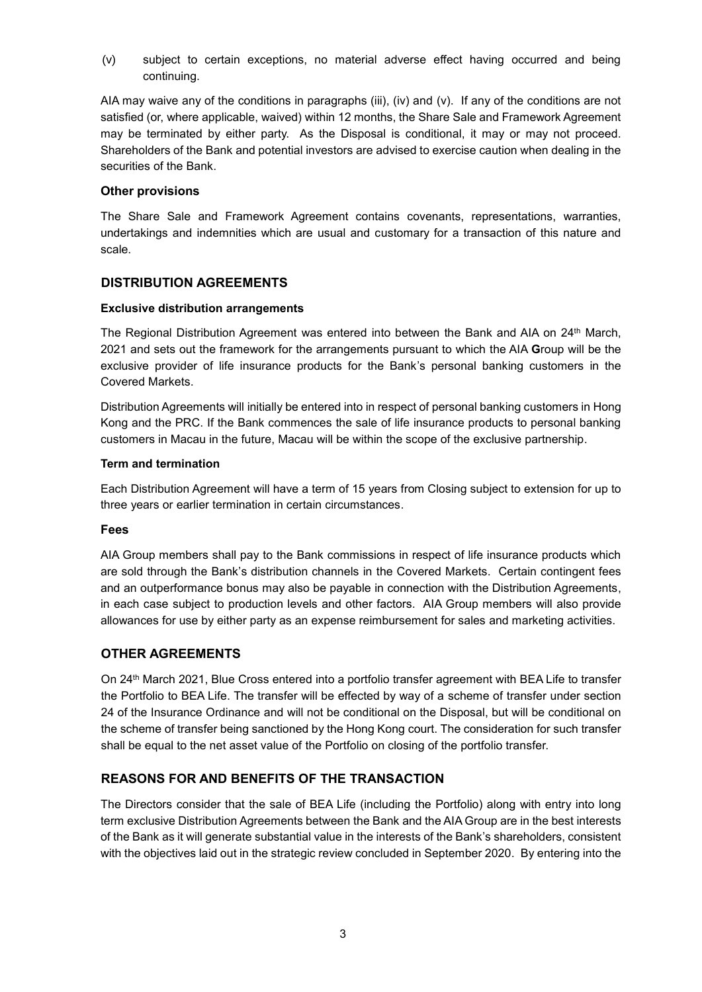(v) subject to certain exceptions, no material adverse effect having occurred and being continuing.

AIA may waive any of the conditions in paragraphs (iii), (iv) and (v). If any of the conditions are not satisfied (or, where applicable, waived) within 12 months, the Share Sale and Framework Agreement may be terminated by either party. As the Disposal is conditional, it may or may not proceed. Shareholders of the Bank and potential investors are advised to exercise caution when dealing in the securities of the Bank.

#### **Other provisions**

The Share Sale and Framework Agreement contains covenants, representations, warranties, undertakings and indemnities which are usual and customary for a transaction of this nature and scale.

# **DISTRIBUTION AGREEMENTS**

## **Exclusive distribution arrangements**

The Regional Distribution Agreement was entered into between the Bank and AIA on 24<sup>th</sup> March, 2021 and sets out the framework for the arrangements pursuant to which the AIA **G**roup will be the exclusive provider of life insurance products for the Bank's personal banking customers in the Covered Markets.

Distribution Agreements will initially be entered into in respect of personal banking customers in Hong Kong and the PRC. If the Bank commences the sale of life insurance products to personal banking customers in Macau in the future, Macau will be within the scope of the exclusive partnership.

#### **Term and termination**

Each Distribution Agreement will have a term of 15 years from Closing subject to extension for up to three years or earlier termination in certain circumstances.

#### **Fees**

AIA Group members shall pay to the Bank commissions in respect of life insurance products which are sold through the Bank's distribution channels in the Covered Markets. Certain contingent fees and an outperformance bonus may also be payable in connection with the Distribution Agreements, in each case subject to production levels and other factors. AIA Group members will also provide allowances for use by either party as an expense reimbursement for sales and marketing activities.

# **OTHER AGREEMENTS**

On 24th March 2021, Blue Cross entered into a portfolio transfer agreement with BEA Life to transfer the Portfolio to BEA Life. The transfer will be effected by way of a scheme of transfer under section 24 of the Insurance Ordinance and will not be conditional on the Disposal, but will be conditional on the scheme of transfer being sanctioned by the Hong Kong court. The consideration for such transfer shall be equal to the net asset value of the Portfolio on closing of the portfolio transfer.

# **REASONS FOR AND BENEFITS OF THE TRANSACTION**

The Directors consider that the sale of BEA Life (including the Portfolio) along with entry into long term exclusive Distribution Agreements between the Bank and the AIA Group are in the best interests of the Bank as it will generate substantial value in the interests of the Bank's shareholders, consistent with the objectives laid out in the strategic review concluded in September 2020. By entering into the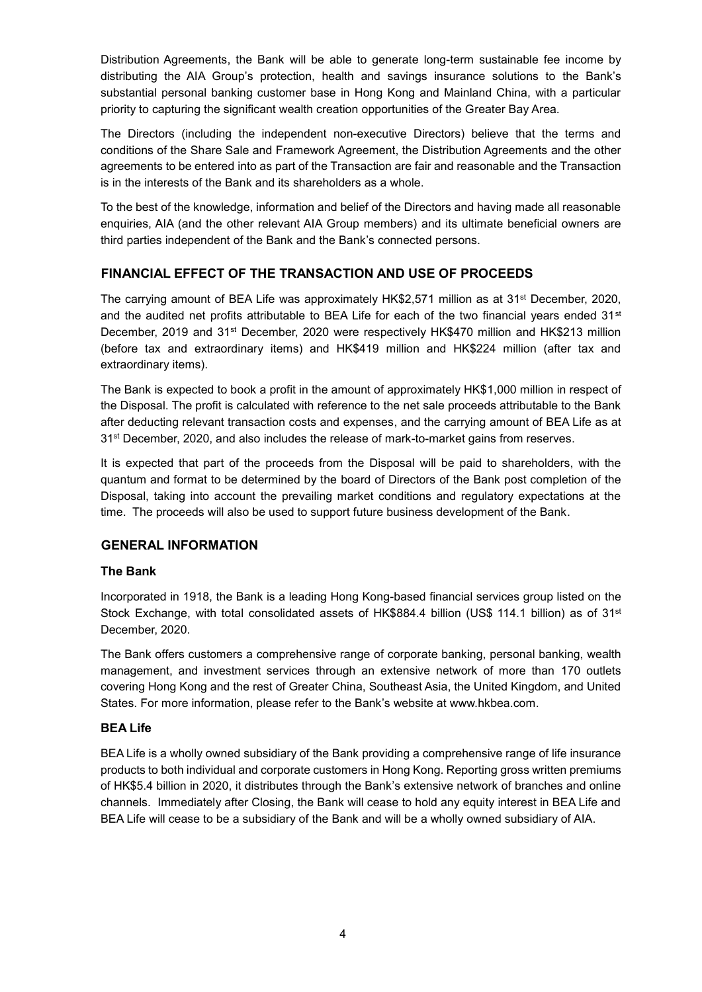Distribution Agreements, the Bank will be able to generate long-term sustainable fee income by distributing the AIA Group's protection, health and savings insurance solutions to the Bank's substantial personal banking customer base in Hong Kong and Mainland China, with a particular priority to capturing the significant wealth creation opportunities of the Greater Bay Area.

The Directors (including the independent non-executive Directors) believe that the terms and conditions of the Share Sale and Framework Agreement, the Distribution Agreements and the other agreements to be entered into as part of the Transaction are fair and reasonable and the Transaction is in the interests of the Bank and its shareholders as a whole.

To the best of the knowledge, information and belief of the Directors and having made all reasonable enquiries, AIA (and the other relevant AIA Group members) and its ultimate beneficial owners are third parties independent of the Bank and the Bank's connected persons.

# **FINANCIAL EFFECT OF THE TRANSACTION AND USE OF PROCEEDS**

The carrying amount of BEA Life was approximately HK\$2,571 million as at 31<sup>st</sup> December, 2020, and the audited net profits attributable to BEA Life for each of the two financial years ended 31<sup>st</sup> December, 2019 and 31<sup>st</sup> December, 2020 were respectively HK\$470 million and HK\$213 million (before tax and extraordinary items) and HK\$419 million and HK\$224 million (after tax and extraordinary items).

The Bank is expected to book a profit in the amount of approximately HK\$1,000 million in respect of the Disposal. The profit is calculated with reference to the net sale proceeds attributable to the Bank after deducting relevant transaction costs and expenses, and the carrying amount of BEA Life as at 31<sup>st</sup> December, 2020, and also includes the release of mark-to-market gains from reserves.

It is expected that part of the proceeds from the Disposal will be paid to shareholders, with the quantum and format to be determined by the board of Directors of the Bank post completion of the Disposal, taking into account the prevailing market conditions and regulatory expectations at the time. The proceeds will also be used to support future business development of the Bank.

# **GENERAL INFORMATION**

# **The Bank**

Incorporated in 1918, the Bank is a leading Hong Kong-based financial services group listed on the Stock Exchange, with total consolidated assets of HK\$884.4 billion (US\$ 114.1 billion) as of 31st December, 2020.

The Bank offers customers a comprehensive range of corporate banking, personal banking, wealth management, and investment services through an extensive network of more than 170 outlets covering Hong Kong and the rest of Greater China, Southeast Asia, the United Kingdom, and United States. For more information, please refer to the Bank's website at www.hkbea.com.

# **BEA Life**

BEA Life is a wholly owned subsidiary of the Bank providing a comprehensive range of life insurance products to both individual and corporate customers in Hong Kong. Reporting gross written premiums of HK\$5.4 billion in 2020, it distributes through the Bank's extensive network of branches and online channels. Immediately after Closing, the Bank will cease to hold any equity interest in BEA Life and BEA Life will cease to be a subsidiary of the Bank and will be a wholly owned subsidiary of AIA.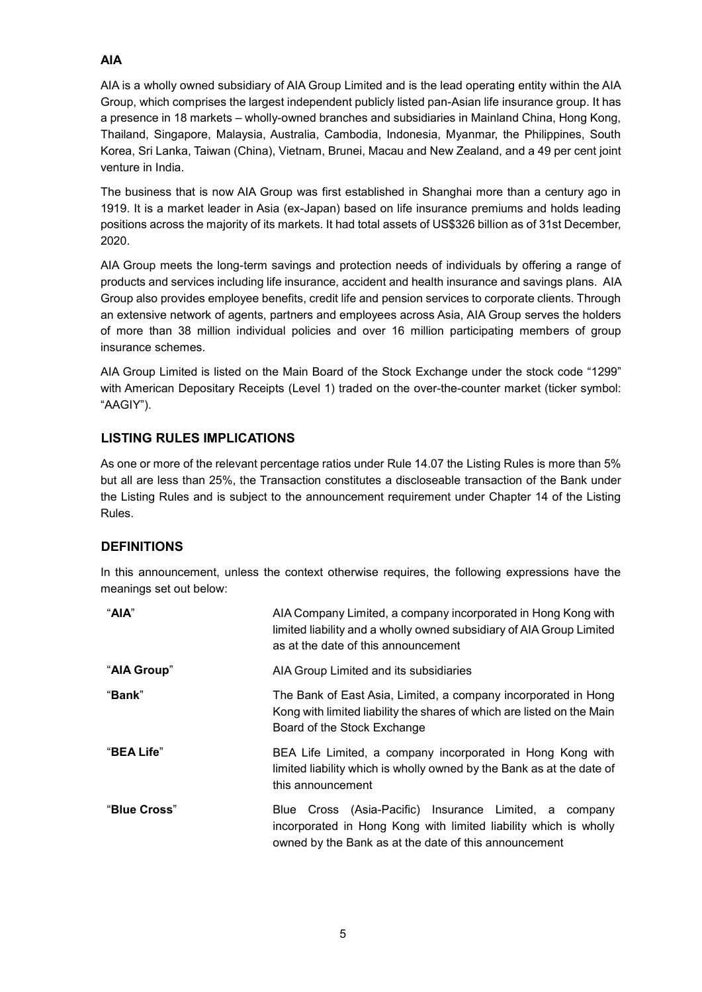# **AIA**

AIA is a wholly owned subsidiary of AIA Group Limited and is the lead operating entity within the AIA Group, which comprises the largest independent publicly listed pan-Asian life insurance group. It has a presence in 18 markets – wholly-owned branches and subsidiaries in Mainland China, Hong Kong, Thailand, Singapore, Malaysia, Australia, Cambodia, Indonesia, Myanmar, the Philippines, South Korea, Sri Lanka, Taiwan (China), Vietnam, Brunei, Macau and New Zealand, and a 49 per cent joint venture in India.

The business that is now AIA Group was first established in Shanghai more than a century ago in 1919. It is a market leader in Asia (ex-Japan) based on life insurance premiums and holds leading positions across the majority of its markets. It had total assets of US\$326 billion as of 31st December, 2020.

AIA Group meets the long-term savings and protection needs of individuals by offering a range of products and services including life insurance, accident and health insurance and savings plans. AIA Group also provides employee benefits, credit life and pension services to corporate clients. Through an extensive network of agents, partners and employees across Asia, AIA Group serves the holders of more than 38 million individual policies and over 16 million participating members of group insurance schemes.

AIA Group Limited is listed on the Main Board of the Stock Exchange under the stock code "1299" with American Depositary Receipts (Level 1) traded on the over-the-counter market (ticker symbol: "AAGIY").

# **LISTING RULES IMPLICATIONS**

As one or more of the relevant percentage ratios under Rule 14.07 the Listing Rules is more than 5% but all are less than 25%, the Transaction constitutes a discloseable transaction of the Bank under the Listing Rules and is subject to the announcement requirement under Chapter 14 of the Listing Rules.

# **DEFINITIONS**

In this announcement, unless the context otherwise requires, the following expressions have the meanings set out below:

| "AIA"        | AIA Company Limited, a company incorporated in Hong Kong with<br>limited liability and a wholly owned subsidiary of AIA Group Limited<br>as at the date of this announcement        |
|--------------|-------------------------------------------------------------------------------------------------------------------------------------------------------------------------------------|
| "AIA Group"  | AIA Group Limited and its subsidiaries                                                                                                                                              |
| "Bank"       | The Bank of East Asia, Limited, a company incorporated in Hong<br>Kong with limited liability the shares of which are listed on the Main<br>Board of the Stock Exchange             |
| "BEA Life"   | BEA Life Limited, a company incorporated in Hong Kong with<br>limited liability which is wholly owned by the Bank as at the date of<br>this announcement                            |
| "Blue Cross" | Blue Cross (Asia-Pacific) Insurance Limited, a company<br>incorporated in Hong Kong with limited liability which is wholly<br>owned by the Bank as at the date of this announcement |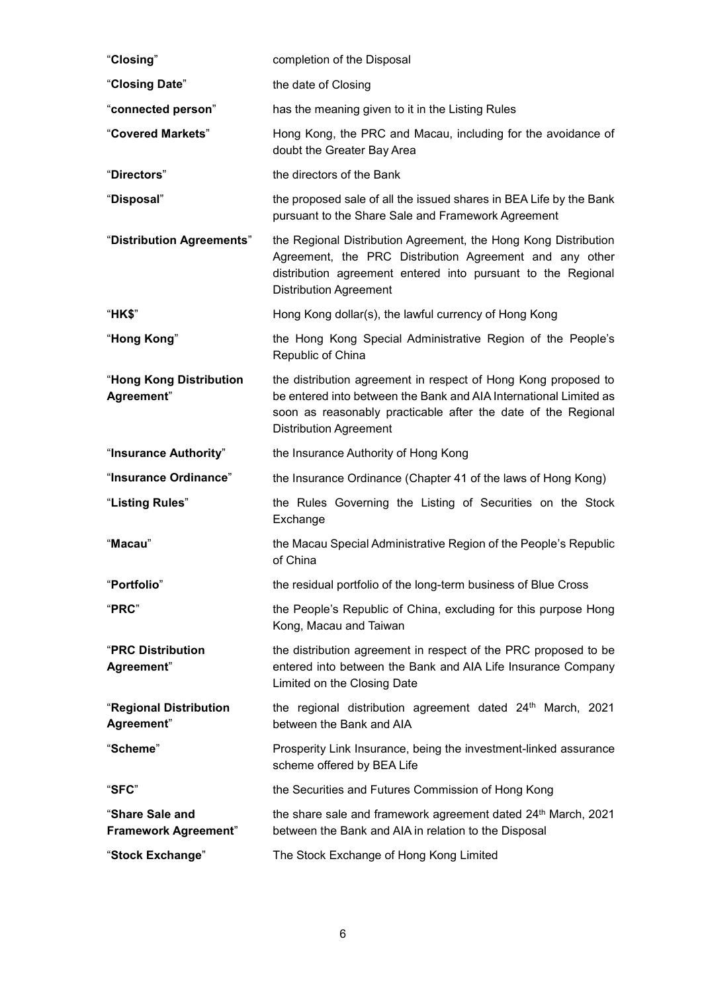| "Closing"                               | completion of the Disposal                                                                                                                                                                                                            |
|-----------------------------------------|---------------------------------------------------------------------------------------------------------------------------------------------------------------------------------------------------------------------------------------|
| "Closing Date"                          | the date of Closing                                                                                                                                                                                                                   |
| "connected person"                      | has the meaning given to it in the Listing Rules                                                                                                                                                                                      |
| "Covered Markets"                       | Hong Kong, the PRC and Macau, including for the avoidance of<br>doubt the Greater Bay Area                                                                                                                                            |
| "Directors"                             | the directors of the Bank                                                                                                                                                                                                             |
| "Disposal"                              | the proposed sale of all the issued shares in BEA Life by the Bank<br>pursuant to the Share Sale and Framework Agreement                                                                                                              |
| "Distribution Agreements"               | the Regional Distribution Agreement, the Hong Kong Distribution<br>Agreement, the PRC Distribution Agreement and any other<br>distribution agreement entered into pursuant to the Regional<br><b>Distribution Agreement</b>           |
| "HK\$"                                  | Hong Kong dollar(s), the lawful currency of Hong Kong                                                                                                                                                                                 |
| "Hong Kong"                             | the Hong Kong Special Administrative Region of the People's<br>Republic of China                                                                                                                                                      |
| "Hong Kong Distribution<br>Agreement"   | the distribution agreement in respect of Hong Kong proposed to<br>be entered into between the Bank and AIA International Limited as<br>soon as reasonably practicable after the date of the Regional<br><b>Distribution Agreement</b> |
| "Insurance Authority"                   | the Insurance Authority of Hong Kong                                                                                                                                                                                                  |
| "Insurance Ordinance"                   | the Insurance Ordinance (Chapter 41 of the laws of Hong Kong)                                                                                                                                                                         |
| "Listing Rules"                         | the Rules Governing the Listing of Securities on the Stock<br>Exchange                                                                                                                                                                |
| "Macau"                                 | the Macau Special Administrative Region of the People's Republic<br>of China                                                                                                                                                          |
| "Portfolio"                             | the residual portfolio of the long-term business of Blue Cross                                                                                                                                                                        |
| "PRC"                                   | the People's Republic of China, excluding for this purpose Hong<br>Kong, Macau and Taiwan                                                                                                                                             |
| <b>"PRC Distribution</b><br>Agreement"  | the distribution agreement in respect of the PRC proposed to be<br>entered into between the Bank and AIA Life Insurance Company<br>Limited on the Closing Date                                                                        |
| "Regional Distribution<br>Agreement"    | the regional distribution agreement dated 24 <sup>th</sup> March, 2021<br>between the Bank and AIA                                                                                                                                    |
| "Scheme"                                | Prosperity Link Insurance, being the investment-linked assurance<br>scheme offered by BEA Life                                                                                                                                        |
| "SFC"                                   | the Securities and Futures Commission of Hong Kong                                                                                                                                                                                    |
| "Share Sale and<br>Framework Agreement" | the share sale and framework agreement dated 24 <sup>th</sup> March, 2021<br>between the Bank and AIA in relation to the Disposal                                                                                                     |
| "Stock Exchange"                        | The Stock Exchange of Hong Kong Limited                                                                                                                                                                                               |